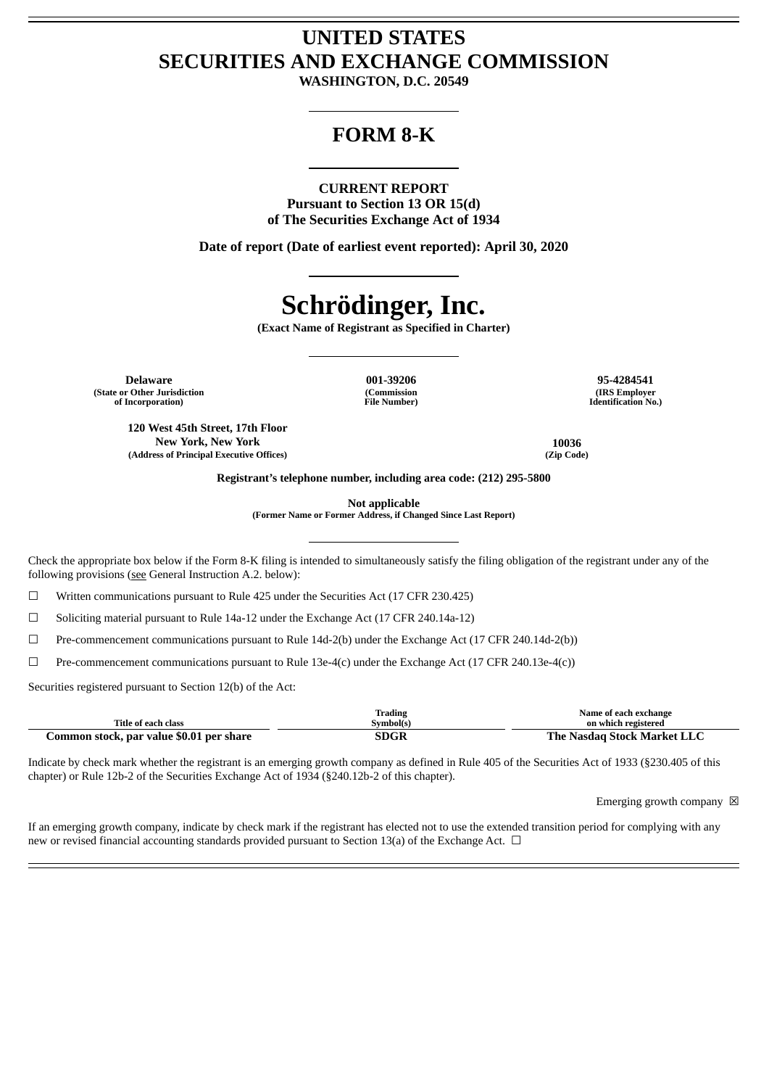## **UNITED STATES SECURITIES AND EXCHANGE COMMISSION**

**WASHINGTON, D.C. 20549**

### **FORM 8-K**

#### **CURRENT REPORT**

**Pursuant to Section 13 OR 15(d) of The Securities Exchange Act of 1934**

**Date of report (Date of earliest event reported): April 30, 2020**

# **Schrödinger, Inc.**

**(Exact Name of Registrant as Specified in Charter)**

**Delaware 001-39206 95-4284541 (State or Other Jurisdiction of Incorporation)**

**120 West 45th Street, 17th Floor New York, New York 10036 (Address of Principal Executive Offices) (Zip Code)**

**(Commission File Number)**

**(IRS Employer Identification No.)**

**Registrant's telephone number, including area code: (212) 295-5800**

**Not applicable**

**(Former Name or Former Address, if Changed Since Last Report)**

Check the appropriate box below if the Form 8-K filing is intended to simultaneously satisfy the filing obligation of the registrant under any of the following provisions (see General Instruction A.2. below):

☐ Written communications pursuant to Rule 425 under the Securities Act (17 CFR 230.425)

☐ Soliciting material pursuant to Rule 14a-12 under the Exchange Act (17 CFR 240.14a-12)

☐ Pre-commencement communications pursuant to Rule 14d-2(b) under the Exchange Act (17 CFR 240.14d-2(b))

 $\Box$  Pre-commencement communications pursuant to Rule 13e-4(c) under the Exchange Act (17 CFR 240.13e-4(c))

Securities registered pursuant to Section 12(b) of the Act:

|                                          | frading   | Name of each exchange              |
|------------------------------------------|-----------|------------------------------------|
| Title of each class                      | Svmbol(s) | on which registered                |
| Common stock, par value \$0.01 per share | SDGR      | : Nasdag Stock Market LLC<br>The . |

Indicate by check mark whether the registrant is an emerging growth company as defined in Rule 405 of the Securities Act of 1933 (§230.405 of this chapter) or Rule 12b-2 of the Securities Exchange Act of 1934 (§240.12b-2 of this chapter).

Emerging growth company  $\boxtimes$ 

If an emerging growth company, indicate by check mark if the registrant has elected not to use the extended transition period for complying with any new or revised financial accounting standards provided pursuant to Section 13(a) of the Exchange Act.  $\Box$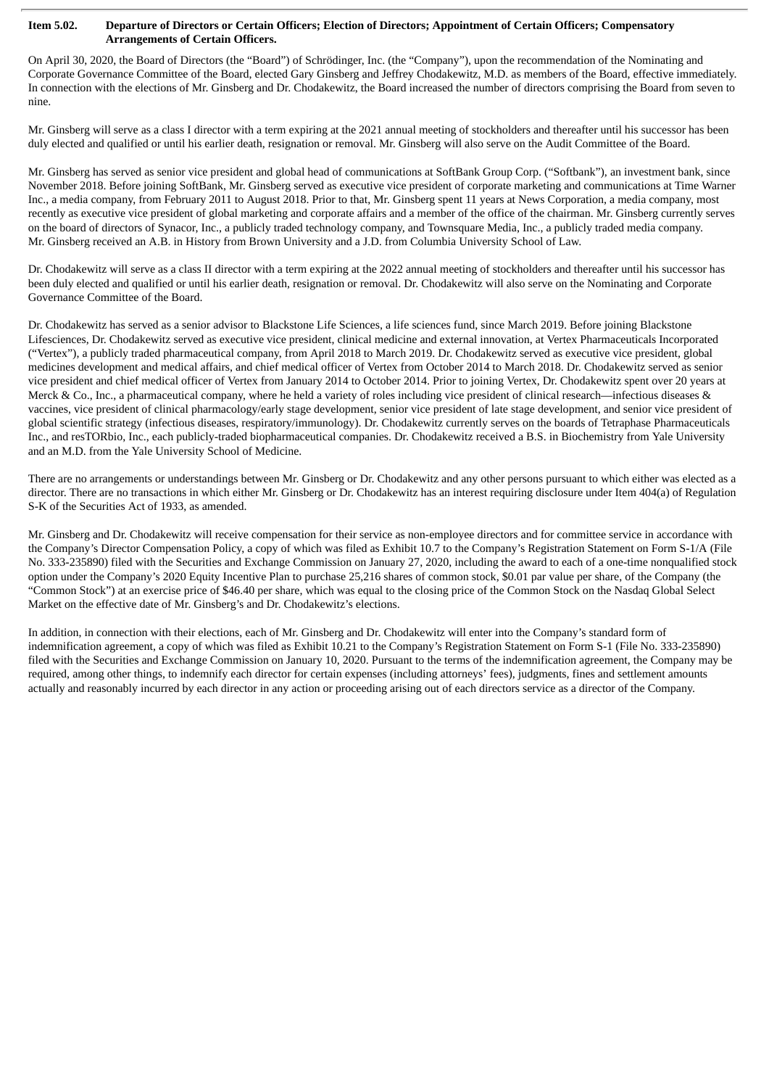#### Item 5.02. Departure of Directors or Certain Officers; Election of Directors; Appointment of Certain Officers; Compensatory **Arrangements of Certain Officers.**

On April 30, 2020, the Board of Directors (the "Board") of Schrödinger, Inc. (the "Company"), upon the recommendation of the Nominating and Corporate Governance Committee of the Board, elected Gary Ginsberg and Jeffrey Chodakewitz, M.D. as members of the Board, effective immediately. In connection with the elections of Mr. Ginsberg and Dr. Chodakewitz, the Board increased the number of directors comprising the Board from seven to nine.

Mr. Ginsberg will serve as a class I director with a term expiring at the 2021 annual meeting of stockholders and thereafter until his successor has been duly elected and qualified or until his earlier death, resignation or removal. Mr. Ginsberg will also serve on the Audit Committee of the Board.

Mr. Ginsberg has served as senior vice president and global head of communications at SoftBank Group Corp. ("Softbank"), an investment bank, since November 2018. Before joining SoftBank, Mr. Ginsberg served as executive vice president of corporate marketing and communications at Time Warner Inc., a media company, from February 2011 to August 2018. Prior to that, Mr. Ginsberg spent 11 years at News Corporation, a media company, most recently as executive vice president of global marketing and corporate affairs and a member of the office of the chairman. Mr. Ginsberg currently serves on the board of directors of Synacor, Inc., a publicly traded technology company, and Townsquare Media, Inc., a publicly traded media company. Mr. Ginsberg received an A.B. in History from Brown University and a J.D. from Columbia University School of Law.

Dr. Chodakewitz will serve as a class II director with a term expiring at the 2022 annual meeting of stockholders and thereafter until his successor has been duly elected and qualified or until his earlier death, resignation or removal. Dr. Chodakewitz will also serve on the Nominating and Corporate Governance Committee of the Board.

Dr. Chodakewitz has served as a senior advisor to Blackstone Life Sciences, a life sciences fund, since March 2019. Before joining Blackstone Lifesciences, Dr. Chodakewitz served as executive vice president, clinical medicine and external innovation, at Vertex Pharmaceuticals Incorporated ("Vertex"), a publicly traded pharmaceutical company, from April 2018 to March 2019. Dr. Chodakewitz served as executive vice president, global medicines development and medical affairs, and chief medical officer of Vertex from October 2014 to March 2018. Dr. Chodakewitz served as senior vice president and chief medical officer of Vertex from January 2014 to October 2014. Prior to joining Vertex, Dr. Chodakewitz spent over 20 years at Merck & Co., Inc., a pharmaceutical company, where he held a variety of roles including vice president of clinical research—infectious diseases & vaccines, vice president of clinical pharmacology/early stage development, senior vice president of late stage development, and senior vice president of global scientific strategy (infectious diseases, respiratory/immunology). Dr. Chodakewitz currently serves on the boards of Tetraphase Pharmaceuticals Inc., and resTORbio, Inc., each publicly-traded biopharmaceutical companies. Dr. Chodakewitz received a B.S. in Biochemistry from Yale University and an M.D. from the Yale University School of Medicine.

There are no arrangements or understandings between Mr. Ginsberg or Dr. Chodakewitz and any other persons pursuant to which either was elected as a director. There are no transactions in which either Mr. Ginsberg or Dr. Chodakewitz has an interest requiring disclosure under Item 404(a) of Regulation S-K of the Securities Act of 1933, as amended.

Mr. Ginsberg and Dr. Chodakewitz will receive compensation for their service as non-employee directors and for committee service in accordance with the Company's Director Compensation Policy, a copy of which was filed as Exhibit 10.7 to the Company's Registration Statement on Form S-1/A (File No. 333-235890) filed with the Securities and Exchange Commission on January 27, 2020, including the award to each of a one-time nonqualified stock option under the Company's 2020 Equity Incentive Plan to purchase 25,216 shares of common stock, \$0.01 par value per share, of the Company (the "Common Stock") at an exercise price of \$46.40 per share, which was equal to the closing price of the Common Stock on the Nasdaq Global Select Market on the effective date of Mr. Ginsberg's and Dr. Chodakewitz's elections.

In addition, in connection with their elections, each of Mr. Ginsberg and Dr. Chodakewitz will enter into the Company's standard form of indemnification agreement, a copy of which was filed as Exhibit 10.21 to the Company's Registration Statement on Form S-1 (File No. 333-235890) filed with the Securities and Exchange Commission on January 10, 2020. Pursuant to the terms of the indemnification agreement, the Company may be required, among other things, to indemnify each director for certain expenses (including attorneys' fees), judgments, fines and settlement amounts actually and reasonably incurred by each director in any action or proceeding arising out of each directors service as a director of the Company.